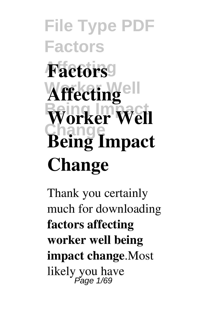# **File Type PDF Factors Factors Affecting**ell  $W$ orker Well **Change Being Impact Change**

Thank you certainly much for downloading **factors affecting worker well being impact change**.Most likely you have Page 1/69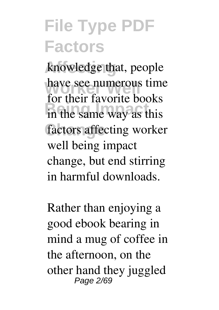knowledge that, people have see numerous time in the same way as this factors affecting worker for their favorite books well being impact change, but end stirring in harmful downloads.

Rather than enjoying a good ebook bearing in mind a mug of coffee in the afternoon, on the other hand they juggled Page 2/69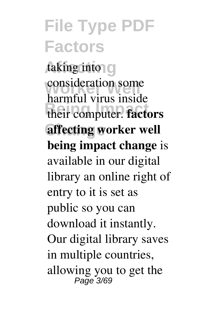#### **File Type PDF Factors** taking into O consideration some **Being Impact** their computer. **factors** affecting worker well harmful virus inside **being impact change** is available in our digital library an online right of entry to it is set as public so you can download it instantly. Our digital library saves in multiple countries, allowing you to get the Page 3/69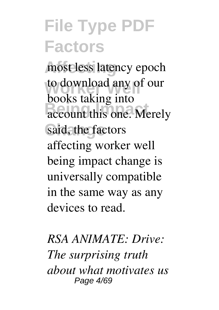most less latency epoch to download any of our account this one. Merely said, the factors books taking into affecting worker well being impact change is universally compatible in the same way as any devices to read.

*RSA ANIMATE: Drive: The surprising truth about what motivates us* Page 4/69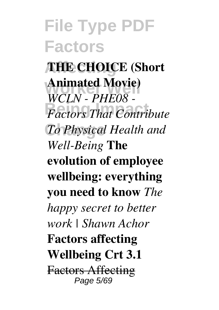#### **File Type PDF Factors Affecting THE CHOICE (Short Animated Movie)**<br>WGLM *BUE0* **Being Impact** *Factors That Contribute*  $To Physical Health and$ *WCLN - PHE08 - Well-Being* **The evolution of employee wellbeing: everything you need to know** *The happy secret to better work | Shawn Achor* **Factors affecting Wellbeing Crt 3.1** Factors Affecting Page 5/69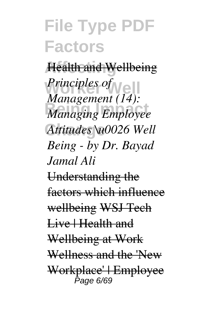**Affecting** Health and Wellbeing *Principles of*<br>*M*<sub>*m*</sub> *r*<sub>*m*</sub> *m*<sub>*n*</sub><sup>*(14)*</sub></sup> **Managing Employee Change** *Attitudes \u0026 Well Management (14): Being - by Dr. Bayad Jamal Ali* Understanding the factors which influence wellbeing WSJ Tech Live | Health and Wellbeing at Work Wellness and the 'New Workplace' | Employee Page 6/69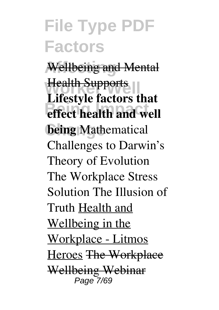**Affecting** Wellbeing and Mental **Health Supports effect health and well being** Mathematical **Lifestyle factors that** Challenges to Darwin's Theory of Evolution The Workplace Stress Solution The Illusion of Truth Health and Wellbeing in the Workplace - Litmos Heroes The Workplace Wellbeing Webinar Page 7/69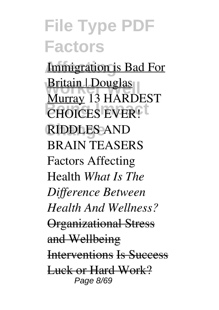**Immigration is Bad For Worker Well** Britain | Douglas **CHOICES EVER!** RIDDLES AND Murray 13 HARDEST BRAIN TEASERS Factors Affecting Health *What Is The Difference Between Health And Wellness?* Organizational Stress and Wellbeing Interventions Is Success Luck or Hard Work? Page 8/69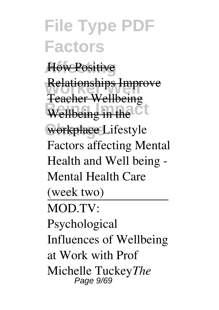**File Type PDF Factors** How Positive Relationships Improve **Wellbeing in the CL** workplace Lifestyle Teacher Wellbeing Factors affecting Mental Health and Well being - Mental Health Care (week two) MOD.TV: Psychological Influences of Wellbeing at Work with Prof Michelle Tuckey*The* Page 9/69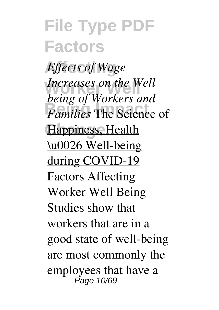**File Type PDF Factors Affecting** *Effects of Wage Increases on the Well Being of Hommes* and **Happiness**, Health *being of Workers and* \u0026 Well-being during COVID-19 Factors Affecting Worker Well Being Studies show that workers that are in a good state of well-being are most commonly the employees that have a Page 10/69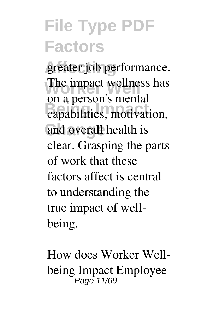greater job performance. The impact wellness has **Being Impact** capabilities, motivation, and overall health is on a person's mental clear. Grasping the parts of work that these factors affect is central to understanding the true impact of wellbeing.

How does Worker Wellbeing Impact Employee Page 11/69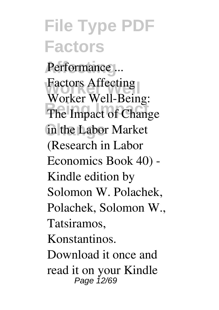#### **File Type PDF Factors** Performance ... Factors Affecting<br>Wedler Well Bein The Impact of Change **Change** in the Labor Market Worker Well-Being: (Research in Labor Economics Book 40) - Kindle edition by Solomon W. Polachek, Polachek, Solomon W., Tatsiramos, Konstantinos. Download it once and read it on your Kindle Page 12/69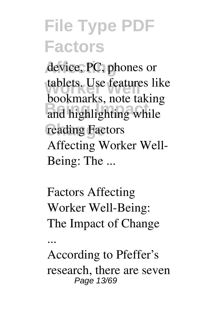device, PC, phones or tablets. Use features like **Because 1997**<br>and highlighting while reading Factors bookmarks, note taking Affecting Worker Well-Being: The ...

Factors Affecting Worker Well-Being: The Impact of Change

...

According to Pfeffer's research, there are seven Page 13/69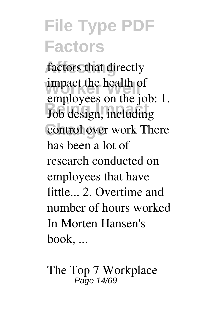factors that directly impact the health of Job design, including control over work There employees on the job: 1. has been a lot of research conducted on employees that have little... 2. Overtime and number of hours worked In Morten Hansen's book, ...

The Top 7 Workplace Page 14/69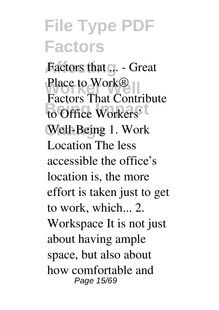Factors that ... - Great Place to Work<sup>®</sup> to Office Workers' Well-Being 1. Work Factors That Contribute Location The less accessible the office's location is, the more effort is taken just to get to work, which... 2. Workspace It is not just about having ample space, but also about how comfortable and Page 15/69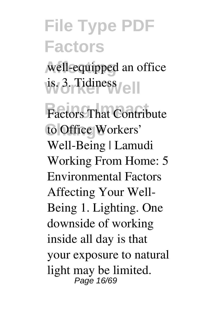well-equipped an office **Worker Well** is. 3. Tidiness

**Factors That Contribute** to Office Workers' Well-Being | Lamudi Working From Home: 5 Environmental Factors Affecting Your Well-Being 1. Lighting. One downside of working inside all day is that your exposure to natural light may be limited. Page 16/69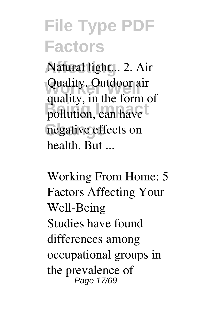Natural light... 2. Air Quality. Outdoor air pollution, can have negative effects on quality, in the form of health. But ...

Working From Home: 5 Factors Affecting Your Well-Being Studies have found differences among occupational groups in the prevalence of Page 17/69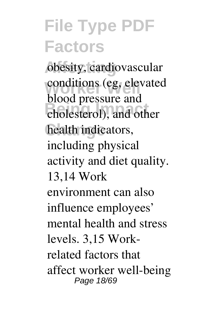**Affecting** obesity, cardiovascular conditions (eg, elevated **Being Impact** cholesterol), and other health indicators, blood pressure and including physical activity and diet quality. 13,14 Work environment can also influence employees' mental health and stress levels. 3,15 Workrelated factors that affect worker well-being Page 18/69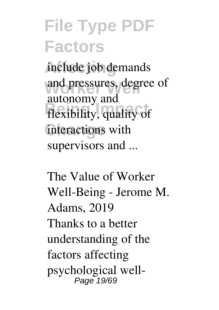**Affecting** include job demands and pressures, degree of flexibility, quality of interactions with autonomy and supervisors and ...

The Value of Worker Well-Being - Jerome M. Adams, 2019 Thanks to a better understanding of the factors affecting psychological well-Page 19/69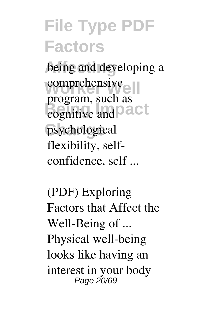being and developing a comprehensive<sub>e</sub> **Being Impact** psychological program, such as flexibility, selfconfidence, self ...

(PDF) Exploring Factors that Affect the Well-Being of ... Physical well-being looks like having an interest in your body Page 20/69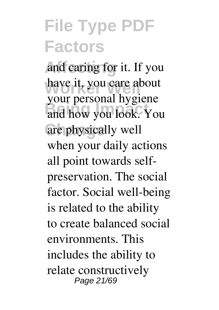and caring for it. If you have it, you care about **Being Impact** and how you look. You are physically well your personal hygiene when your daily actions all point towards selfpreservation. The social factor. Social well-being is related to the ability to create balanced social environments. This includes the ability to relate constructively Page 21/69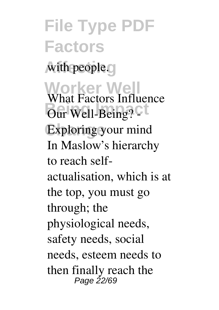**File Type PDF Factors** with people. **Worker Well** What Factors Influence **Being? CLASS** Exploring your mind In Maslow's hierarchy to reach selfactualisation, which is at the top, you must go through; the physiological needs, safety needs, social needs, esteem needs to then finally reach the Page 22/69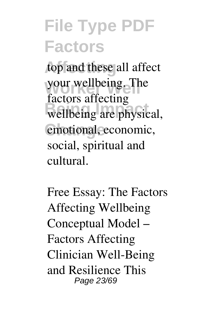top and these all affect your wellbeing. The wellbeing are physical, emotional, economic, factors affecting social, spiritual and cultural.

Free Essay: The Factors Affecting Wellbeing Conceptual Model – Factors Affecting Clinician Well-Being and Resilience This Page 23/69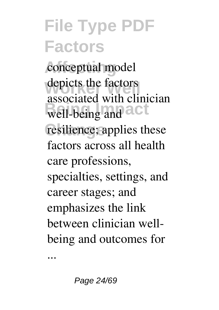conceptual model depicts the factors well-being and a C<sup>t</sup> resilience; applies these associated with clinician factors across all health care professions, specialties, settings, and career stages; and emphasizes the link between clinician wellbeing and outcomes for

...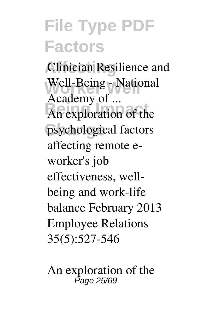**Clinician Resilience and** Well-Being - National An exploration of the psychological factors Academy of ... affecting remote eworker's job effectiveness, wellbeing and work-life balance February 2013 Employee Relations 35(5):527-546

An exploration of the Page 25/69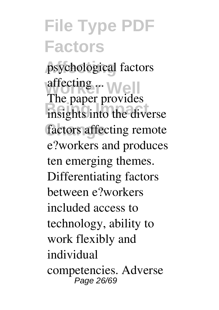psychological factors affecting ... Well insights into the diverse factors affecting remote The paper provides e?workers and produces ten emerging themes. Differentiating factors between e?workers included access to technology, ability to work flexibly and individual competencies. Adverse Page 26/69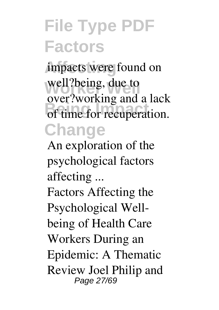impacts were found on well?being, due to of time for recuperation. **Change** over?working and a lack

An exploration of the psychological factors affecting ...

Factors Affecting the Psychological Wellbeing of Health Care Workers During an Epidemic: A Thematic Review Joel Philip and Page 27/69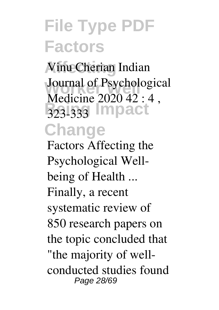**Affecting** Vinu Cherian Indian **Journal of Psychological Being Impact Change** Medicine 2020 42 : 4 ,

Factors Affecting the Psychological Wellbeing of Health ... Finally, a recent systematic review of 850 research papers on the topic concluded that "the majority of wellconducted studies found Page 28/69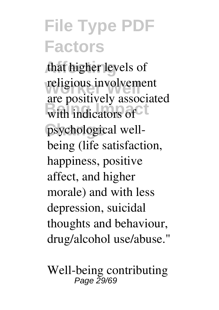that higher levels of religious involvement with indicators of psychological wellare positively associated being (life satisfaction, happiness, positive affect, and higher morale) and with less depression, suicidal thoughts and behaviour, drug/alcohol use/abuse."

Well-being contributing Page 29/69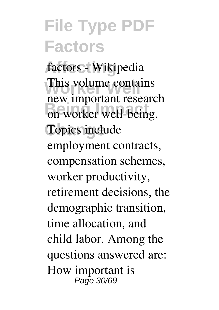**Affecting** factors - Wikipedia This volume contains on worker well-being. Topics include new important research employment contracts, compensation schemes, worker productivity, retirement decisions, the demographic transition, time allocation, and child labor. Among the questions answered are: How important is Page 30/69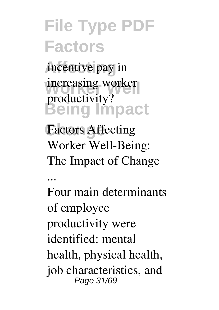**Affecting** incentive pay in increasing worker **Being Impact** productivity?

Factors Affecting Worker Well-Being: The Impact of Change

...

Four main determinants of employee productivity were identified: mental health, physical health, job characteristics, and Page 31/69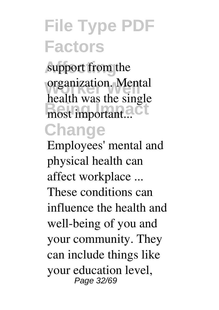support from the organization. Mental most important...<sup>Ct</sup> **Change** health was the single

Employees' mental and physical health can affect workplace ... These conditions can influence the health and well-being of you and your community. They can include things like your education level, Page 32/69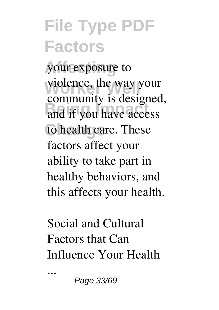**Affecting** your exposure to violence, the way your and if you have access to health care. These community is designed, factors affect your ability to take part in healthy behaviors, and this affects your health.

Social and Cultural Factors that Can Influence Your Health

...

Page 33/69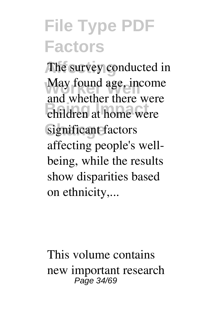The survey conducted in May found age, income **Being Impact** children at home were significant factors and whether there were affecting people's wellbeing, while the results show disparities based on ethnicity,...

This volume contains new important research Page 34/69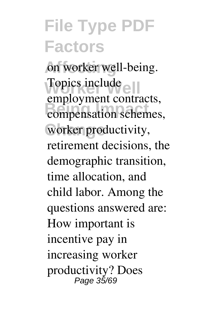on worker well-being. Topics include compensation schemes, **Change** worker productivity, employment contracts, retirement decisions, the demographic transition, time allocation, and child labor. Among the questions answered are: How important is incentive pay in increasing worker productivity? Does Page 35/69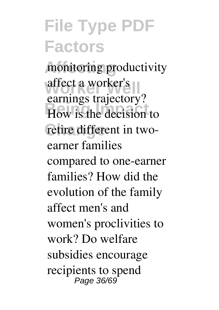monitoring productivity affect a worker's<br>
earnings trajectory? How is the decision to retire different in twoaffect a worker's earner families compared to one-earner families? How did the evolution of the family affect men's and women's proclivities to work? Do welfare subsidies encourage recipients to spend Page 36/69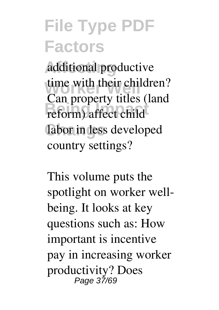additional productive time with their children? **Being Impact**<br>
reform) affect child labor in less developed Can property titles (land country settings?

This volume puts the spotlight on worker wellbeing. It looks at key questions such as: How important is incentive pay in increasing worker productivity? Does Page 37/69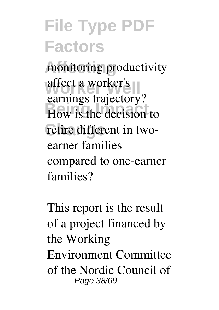monitoring productivity affect a worker's<br>
earnings trajectory? How is the decision to retire different in twoaffect a worker's earner families compared to one-earner families?

This report is the result of a project financed by the Working Environment Committee of the Nordic Council of Page 38/69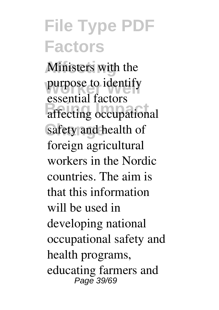**Affecting** Ministers with the purpose to identify affecting occupational safety and health of essential factors foreign agricultural workers in the Nordic countries. The aim is that this information will be used in developing national occupational safety and health programs, educating farmers and Page 39/69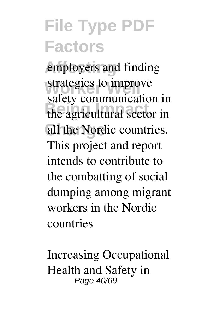employers and finding strategies to improve the agricultural sector in all the Nordic countries. safety communication in This project and report intends to contribute to the combatting of social dumping among migrant workers in the Nordic countries

Increasing Occupational Health and Safety in Page 40/69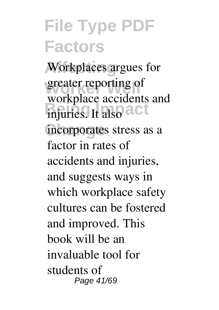Workplaces argues for greater reporting of **Being Injuries.** It also a Ct incorporates stress as a workplace accidents and factor in rates of accidents and injuries, and suggests ways in which workplace safety cultures can be fostered and improved. This book will be an invaluable tool for students of Page 41/69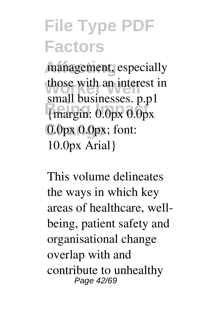management, especially those with an interest in **Being Impact** {margin: 0.0px 0.0px 0.0px 0.0px; font: small businesses. p.p1 10.0px Arial}

This volume delineates the ways in which key areas of healthcare, wellbeing, patient safety and organisational change overlap with and contribute to unhealthy Page 42/69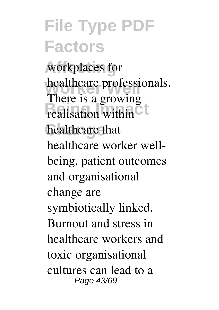workplaces for healthcare professionals. realisation within<sup>C</sup> healthcare that There is a growing healthcare worker wellbeing, patient outcomes and organisational change are symbiotically linked. Burnout and stress in healthcare workers and toxic organisational cultures can lead to a Page 43/69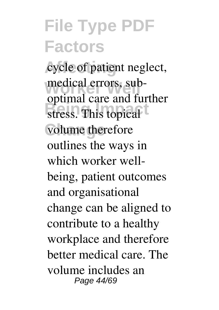cycle of patient neglect, medical errors, substress. This topical volume therefore optimal care and further outlines the ways in which worker wellbeing, patient outcomes and organisational change can be aligned to contribute to a healthy workplace and therefore better medical care. The volume includes an Page 44/69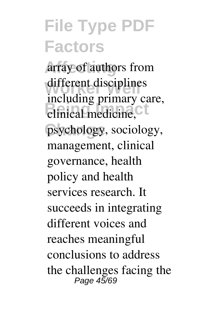**Affecting** array of authors from different disciplines **Being Primary** psychology, sociology, including primary care, management, clinical governance, health policy and health services research. It succeeds in integrating different voices and reaches meaningful conclusions to address the challenges facing the Page 45/69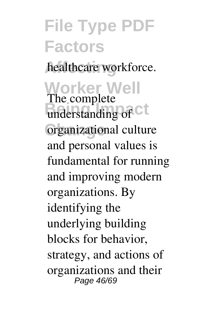#### **File Type PDF Factors** healthcare workforce. **Worker Well** The complete understanding of C<sup>t</sup> **Change** organizational culture and personal values is fundamental for running and improving modern organizations. By identifying the underlying building blocks for behavior, strategy, and actions of organizations and their Page 46/69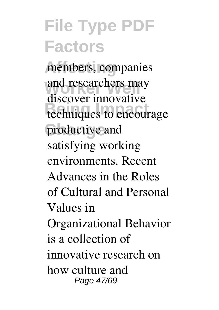members, companies and researchers may techniques to encourage productive and discover innovative satisfying working environments. Recent Advances in the Roles of Cultural and Personal Values in Organizational Behavior is a collection of innovative research on how culture and Page 47/69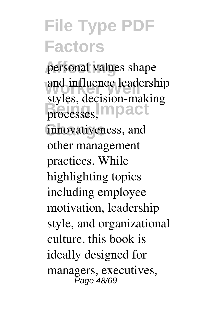personal values shape and influence leadership processes, **mpact** innovativeness, and styles, decision-making other management practices. While highlighting topics including employee motivation, leadership style, and organizational culture, this book is ideally designed for managers, executives, Page 48/69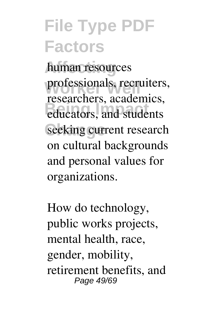**Affecting** human resources professionals, recruiters, educators, and students seeking current research researchers, academics, on cultural backgrounds and personal values for organizations.

How do technology, public works projects, mental health, race, gender, mobility, retirement benefits, and Page 49/69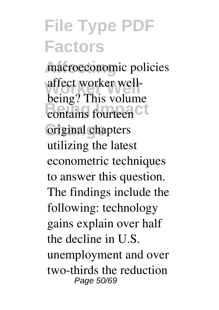macroeconomic policies **Worker Well** affect worker wellcontains fourteen<sup>C</sup> **Change** original chapters being? This volume utilizing the latest econometric techniques to answer this question. The findings include the following: technology gains explain over half the decline in U.S. unemployment and over two-thirds the reduction Page 50/69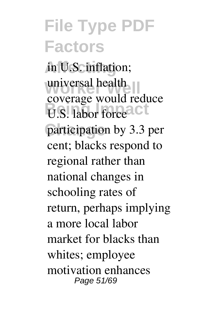**Affecting** in U.S. inflation; universal health **B.** labor force CL participation by 3.3 per coverage would reduce cent; blacks respond to regional rather than national changes in schooling rates of return, perhaps implying a more local labor market for blacks than whites; employee motivation enhances Page 51/69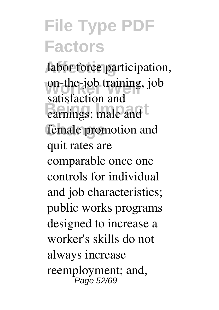labor force participation, on-the-job training, job **balasticity** if and female promotion and satisfaction and quit rates are comparable once one controls for individual and job characteristics; public works programs designed to increase a worker's skills do not always increase reemployment; and, Page 52/69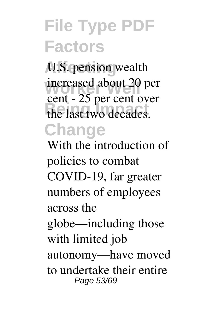**Affecting** U.S. pension wealth increased about 20 per the last two decades. **Change** cent - 25 per cent over

With the introduction of policies to combat COVID-19, far greater numbers of employees across the globe—including those with limited job autonomy—have moved to undertake their entire Page 53/69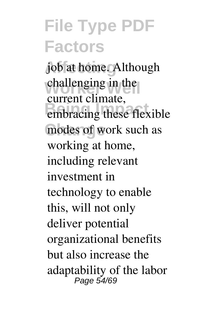job at home. Although challenging in the embracing these flexible modes of work such as current climate, working at home, including relevant investment in technology to enable this, will not only deliver potential organizational benefits but also increase the adaptability of the labor Page 54/69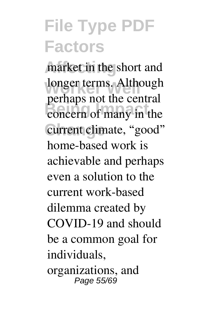market in the short and longer terms. Although concern of many in the current climate, "good" perhaps not the central home-based work is achievable and perhaps even a solution to the current work-based dilemma created by COVID-19 and should be a common goal for individuals, organizations, and Page 55/69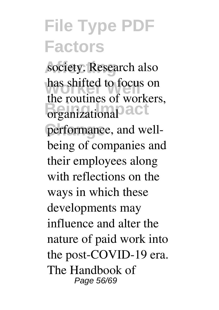society. Research also has shifted to focus on **Being Impact** performance, and wellthe routines of workers, being of companies and their employees along with reflections on the ways in which these developments may influence and alter the nature of paid work into the post-COVID-19 era. The Handbook of Page 56/69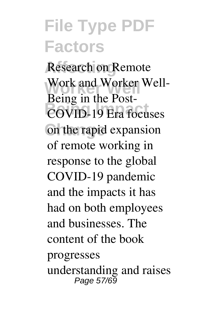**Research on Remote** Work and Worker Well-**COVID-19** Era focuses **Change** on the rapid expansion Being in the Postof remote working in response to the global COVID-19 pandemic and the impacts it has had on both employees and businesses. The content of the book progresses understanding and raises Page 57/69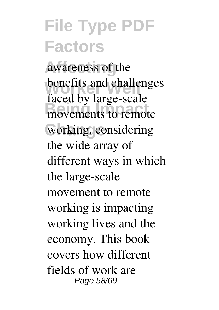awareness of the benefits and challenges movements to remote working, considering faced by large-scale the wide array of different ways in which the large-scale movement to remote working is impacting working lives and the economy. This book covers how different fields of work are Page 58/69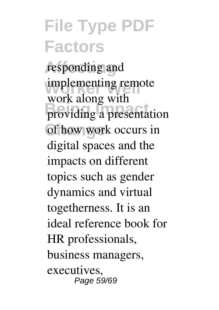**Affecting** responding and implementing remote **Being Impact** providing a presentation of how work occurs in work along with digital spaces and the impacts on different topics such as gender dynamics and virtual togetherness. It is an ideal reference book for HR professionals, business managers, executives, Page 59/69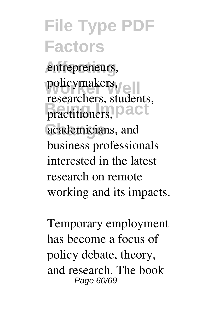#### **File Type PDF Factors** entrepreneurs, policymakers, practitioners, **Dact** academicians, and researchers, students, business professionals interested in the latest

research on remote working and its impacts.

Temporary employment has become a focus of policy debate, theory, and research. The book Page 60/69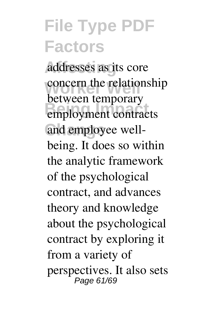**Affecting** addresses as its core concern the relationship employment contracts and employee wellbetween temporary being. It does so within the analytic framework of the psychological contract, and advances theory and knowledge about the psychological contract by exploring it from a variety of perspectives. It also sets Page 61/69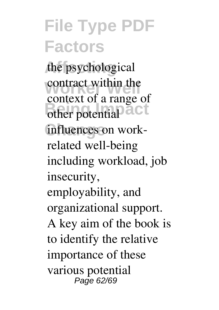the psychological contract within the **Being Impact** influences on workcontext of a range of related well-being including workload, job insecurity, employability, and organizational support. A key aim of the book is to identify the relative importance of these various potential Page 62/69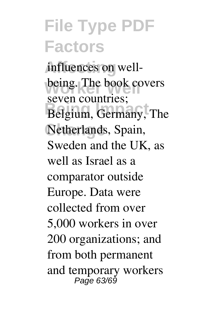influences on wellbeing. The book covers Belgium, Germany, The Netherlands, Spain, seven countries; Sweden and the UK, as well as Israel as a comparator outside Europe. Data were collected from over 5,000 workers in over 200 organizations; and from both permanent and temporary workers Page 63/69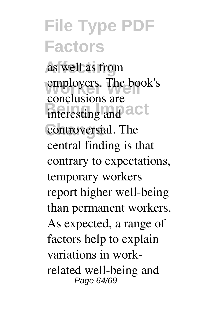**Affecting** as well as from employers. The book's interesting and a Ct controversial. The conclusions are central finding is that contrary to expectations, temporary workers report higher well-being than permanent workers. As expected, a range of factors help to explain variations in workrelated well-being and Page 64/69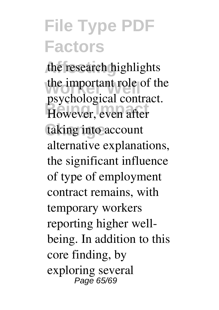the research highlights the important role of the **Beginning Italy**<br> **However**, even after taking into account psychological contract. alternative explanations, the significant influence of type of employment contract remains, with temporary workers reporting higher wellbeing. In addition to this core finding, by exploring several Page 65/69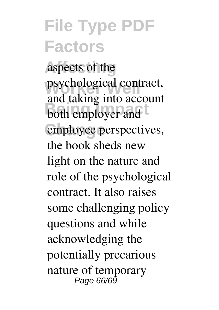**Affecting** aspects of the psychological contract, **Being Impact** both employer and employee perspectives, and taking into account the book sheds new light on the nature and role of the psychological contract. It also raises some challenging policy questions and while acknowledging the potentially precarious nature of temporary Page 66/69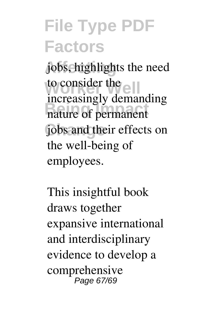**Affecting** jobs, highlights the need to consider the **Being Impact** nature of permanent jobs and their effects on increasingly demanding the well-being of employees.

This insightful book draws together expansive international and interdisciplinary evidence to develop a comprehensive Page 67/69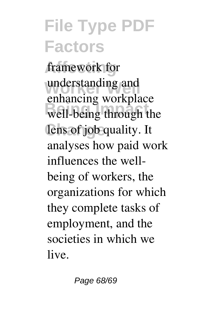framework for understanding and well-being through the lens of job quality. It enhancing workplace analyses how paid work influences the wellbeing of workers, the organizations for which they complete tasks of employment, and the societies in which we live.